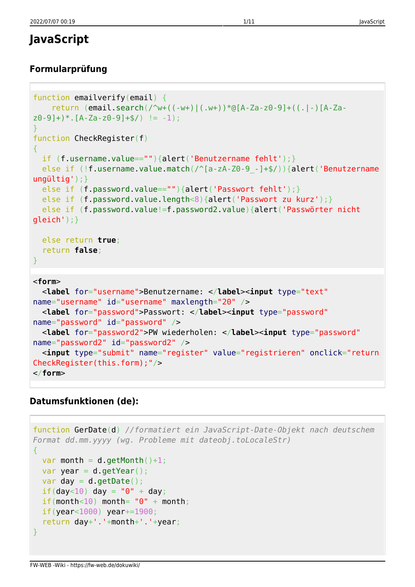# **JavaScript**

### **Formularprüfung**

```
function emailverify(email) {
     return (email.search(/^w+((-w+)|(.w+))*@[A-Za-z0-9]+((.|-)[A-Za-
z0-9]+)*.[A-Za-z0-9]+$/) != -1);
}
function CheckRegister(f)
{
  if (f.username.value==""){alert('Benutzername fehlt');}
 else if (!f.username.value.match(/^[a-zA-Z0-9 -]+$/)){alert('Benutzername
ungültig');}
 else if (f.password.value==""){alert('Passwort fehlt');}
 else if (f.password.value.length<8){alert('Passwort zu kurz');}
  else if (f.password.value!=f.password2.value){alert('Passwörter nicht
gleich');}
  else return true;
  return false;
}
<form>
  <label for="username">Benutzername: </label><input type="text"
name="username" id="username" maxlength="20" />
  <label for="password">Passwort: </label><input type="password"
name="password" id="password" />
  <label for="password2">PW wiederholen: </label><input type="password"
name="password2" id="password2" />
   <input type="submit" name="register" value="registrieren" onclick="return
CheckRegister(this.form);"/>
</form>
```
### **Datumsfunktionen (de):**

```
function GerDate(d) //formatiert ein JavaScript-Date-Objekt nach deutschem
Format dd.mm.yyyy (wg. Probleme mit dateobj.toLocaleStr)
{
 var month = d.getMonth() + 1;var year = d.getYear();
 var day = d.getDate();
 if(day<10) day = "0" + day;if(month<10) month= "0" + month;
  if(year<1000) year+=1900;
   return day+'.'+month+'.'+year;
}
```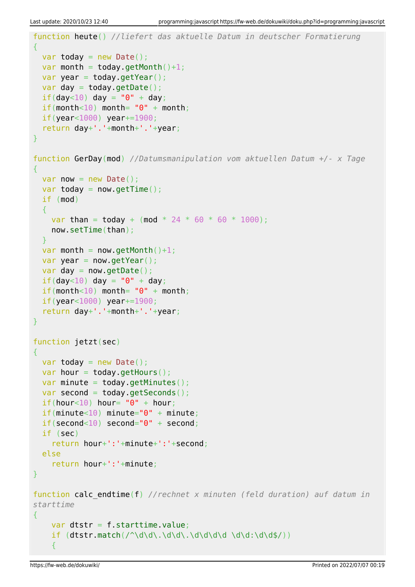```
function heute() //liefert das aktuelle Datum in deutscher Formatierung
{
 var today = new Date();
 var month = today.getMonth()+1;
 var year = today.getYear();
 var day = today.getDate();
 if(day<10) day = "0" + day;if(month<10) month= "0" + month; if(year<1000) year+=1900;
   return day+'.'+month+'.'+year;
}
function GerDay(mod) //Datumsmanipulation vom aktuellen Datum +/- x Tage
{
 var now = new Date();
 var today = now.getTime();
  if (mod)
 \left\{ \right.var than = today + (mod * 24 * 60 * 60 * 1000);
     now.setTime(than);
  }
 var month = now.getMonth() + 1;var year = now.getYear();
 var day = now.getDate();
 if(day<10) day = "0" + day;if(month<10) month= "0" + month; if(year<1000) year+=1900;
   return day+'.'+month+'.'+year;
}
function jetzt(sec)
{
 var today = new Date();
 var hour = today.gethours();
 var minute = today.getMinutes();
 var second = today.getSeconds();
 if(hour < 10) hour= "0" + hour;if(minute<10) minute="0" + minute; if(second<10) second="0" + second;
  if (sec)
     return hour+':'+minute+':'+second;
  else
    return hour+':'+minute;
}
function calc_endtime(f) //rechnet x minuten (feld duration) auf datum in
starttime
{
     var dtstr = f.starttime.value;
    if (dtstr.match//\ddot{\ddot{\theta}},\ddot{\ddot{\theta}}) {
```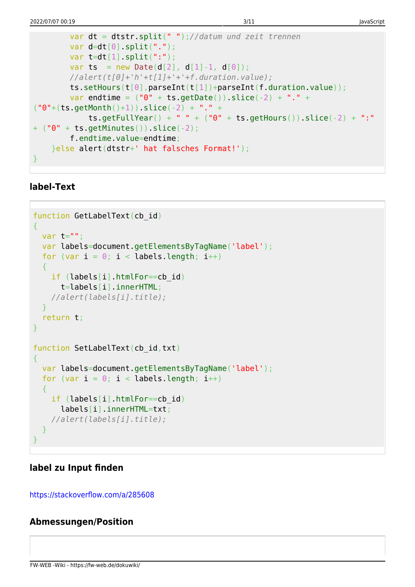```
 var dt = dtstr.split(" ");//datum und zeit trennen
       var d=dt[0].split(".");
       var t=dt[1]. split(";"var ts = new Date(d[2], d[1]-1, d[0]);
        //alert(t[0]+'h'+t[1]+'+'+f.duration.value);
        ts.setHours(t[0],parseInt(t[1])+parseInt(f.duration.value));
       var endtime = ("0" + ts.getDate()).slice(-2) + "." +("0"+(ts.getMonth() +1)).slice(-2) + "." +
            ts.getFullYear() + " " + ("0" + ts.getHours()).slice(-2) + ":"
+ ("0" + ts.getMinutes()).slice(-2);
        f.endtime.value=endtime;
    }else alert(dtstr+' hat falsches Format!');
}
```
#### **label-Text**

```
function GetLabelText(cb_id)
{
 var t="";
  var labels=document.getElementsByTagName('label');
 for (var i = 0; i < labels.length; i++) {
     if (labels[i].htmlFor==cb_id)
       t=labels[i].innerHTML;
     //alert(labels[i].title);
  }
   return t;
}
function SetLabelText(cb id,txt)
{
  var labels=document.getElementsByTagName('label');
  for (var i = 0; i < labels.length; i++)\overline{f} if (labels[i].htmlFor==cb_id)
       labels[i].innerHTML=txt;
     //alert(labels[i].title);
  }
}
```
#### **label zu Input finden**

<https://stackoverflow.com/a/285608>

#### **Abmessungen/Position**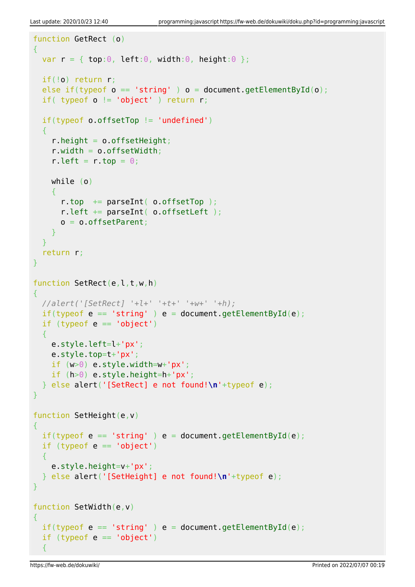```
function GetRect (o)
{
 var r = \{ top: 0, left: 0, width: 0, height: 0 \};
  if(!o) return r;
 else if(typeof o == 'string') o = document.getElementById(o);
 if( typeof o != 'object' ) return r;
  if(typeof o.offsetTop != 'undefined')
 \left\{ \right.r.height = o.offsetHeight;
    r.width = o.offsetWidth;
    r.left = r.top = 0;
     while (o)
    \left\{ \right.r.top += parseInt( o.offsetTop );
       r.left += parseInt( o.offsetLeft );
      o = o.offsetParent;
     }
   }
   return r;
}
function SetRect(e, l, t, w, h)
{
  //alert('[SetRect] '+l+' '+t+' '+w+' '+h);
 if(typeof e == 'string' ) e = document.getElementById(e);if (typeof e == 'object')\left\{ \right. e.style.left=l+'px';
     e.style.top=t+'px';
    if (w>0) e.style.width=w+'px';
     if (h>0) e.style.height=h+'px';
  } else alert('[SetRect] e not found!\n'+typeof e);
}
function SetHeight(e, v)
{
 if(typeof e == 'string') e = document.getElementById(e);if (typeof e == 'object')\left\{ \right. e.style.height=v+'px';
  } else alert('[SetHeight] e not found!\n'+typeof e);
}
function SetWidth(e,v)
{
 if(typeof e == 'string') e = document.getElementById(e);if (typeof e == 'object') {
```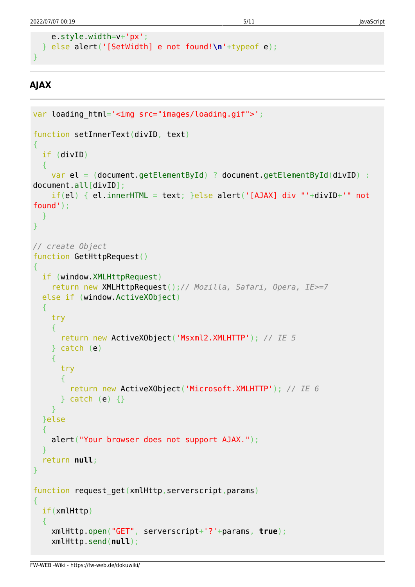```
 e.style.width=v+'px';
 } else alert('[SetWidth] e not found!\n'+typeof e);
```
## **AJAX**

}

```
var loading html='<img src="images/loading.gif">';
function setInnerText(divID, text)
\{ if (divID)
  \overline{f}var el = (document.getElementById) ? document.getElementById(divID) :
document.all[divID];
    if(el) {el.innerHTML = text; }else alet('[AJAX] div "'+divID+'' notfound');
  }
}
// create Object
function GetHttpRequest()
{
   if (window.XMLHttpRequest)
     return new XMLHttpRequest();// Mozilla, Safari, Opera, IE>=7
   else if (window.ActiveXObject)
  \{ try
     {
       return new ActiveXObject('Msxml2.XMLHTTP'); // IE 5
     } catch (e)
    \mathcal{L} try
       {
         return new ActiveXObject('Microsoft.XMLHTTP'); // IE 6
      \} catch (e) \{ \} }
   }else
  \left\{ \right. alert("Your browser does not support AJAX.");
 }
   return null;
}
function request_get(xmlHttp,serverscript,params)
{
   if(xmlHttp)
   {
     xmlHttp.open("GET", serverscript+'?'+params, true);
     xmlHttp.send(null);
```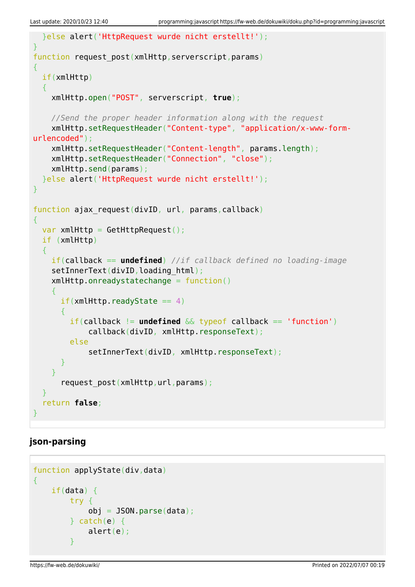```
 }else alert('HttpRequest wurde nicht erstellt!');
}
function request post(xmlHttp,serverscript,params)
\left\{ \right. if(xmlHttp)
   {
     xmlHttp.open("POST", serverscript, true);
     //Send the proper header information along with the request
     xmlHttp.setRequestHeader("Content-type", "application/x-www-form-
urlencoded");
     xmlHttp.setRequestHeader("Content-length", params.length);
     xmlHttp.setRequestHeader("Connection", "close");
     xmlHttp.send(params);
   }else alert('HttpRequest wurde nicht erstellt!');
}
function ajax request(divID, url, params,callback)
{
 var xmlHttp = GetHttpRequest();
   if (xmlHttp)
   {
     if(callback == undefined) //if callback defined no loading-image
    setInnerText(divID, loading html);
     xmlHttp.onreadystatechange = function()
\overline{\phantom{a}}if(xmllHttp.readyState == 4)\{ if(callback != undefined && typeof callback == 'function')
              callback(divID, xmlHttp.responseText);
         else
             setInnerText(divID, xmlHttp.responseText);
       }
     }
      request post(xmlHttp,url,params);
   }
   return false;
}
```
### **json-parsing**

```
function applyState(div,data)
{
   if(data) \{ try {
           obj = JSON.parse(data);} catch(e) {
            alert(e);
 }
```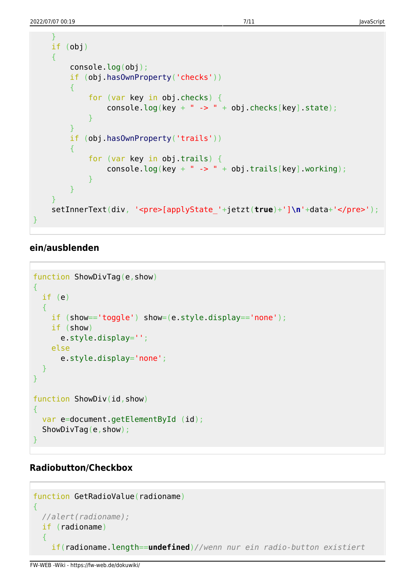```
 }
    if (obj)
    {
        console.log(obj);
        if (obj.hasOwnProperty('checks'))
 {
            for (var key in obj.checks) {
               console.log(key + " -> " + obj.checks[key].state);
 }
 }
        if (obj.hasOwnProperty('trails'))
        {
            for (var key in obj.trails) {
               console.log(key + " -> " + obj.trails[key].working);
 }
        }
    }
    setInnerText(div, '<pre>[applyState_'+jetzt(true)+']\n'+data+'</pre>');
}
```
#### **ein/ausblenden**

```
function ShowDivTag(e,show)
{
  if (e)
   {
     if (show=='toggle') show=(e.style.display=='none');
     if (show)
       e.style.display='';
     else
       e.style.display='none';
  }
}
function ShowDiv(id,show)
{
 var e=document.getElementById (id);
 ShowDivTag(e,show);
}
```
#### **Radiobutton/Checkbox**

```
function GetRadioValue(radioname)
{
  //alert(radioname);
  if (radioname)
   {
     if(radioname.length==undefined)//wenn nur ein radio-button existiert
```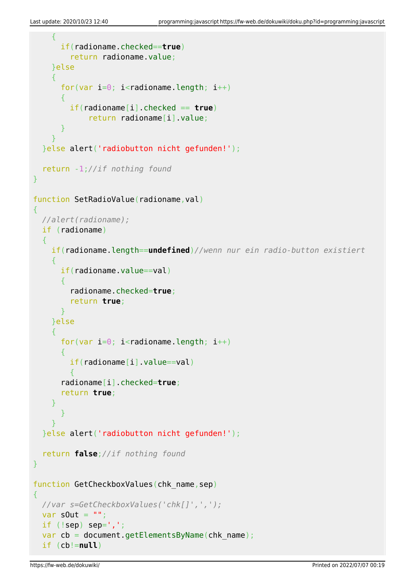```
 {
       if(radioname.checked==true)
         return radioname.value;
     }else
     {
      for(var i=0; i<radioname.length; i++)
      \{ if(radioname[i].checked == true)
              return radioname[i].value;
       }
     }
   }else alert('radiobutton nicht gefunden!');
   return -1;//if nothing found
}
function SetRadioValue(radioname, val)
{
  //alert(radioname);
  if (radioname)
   {
     if(radioname.length==undefined)//wenn nur ein radio-button existiert
     {
      if(radioname.value==val)
       {
         radioname.checked=true;
         return true;
       }
     }else
     {
      for(var i=0; i<radioname.length; i++)
\overline{\phantom{a}}if(radioname[i].value==val)
 {
       radioname[i].checked=true;
       return true;
     }
       }
 }
   }else alert('radiobutton nicht gefunden!');
   return false;//if nothing found
}
function GetCheckboxValues(chk name, sep)
{
  //var s=GetCheckboxValues('chk[]',',');
 var s0ut = "if (!sep) sep=', ';
 var cb = document.getElementsByName(chk name);
  if (cb!=null)
```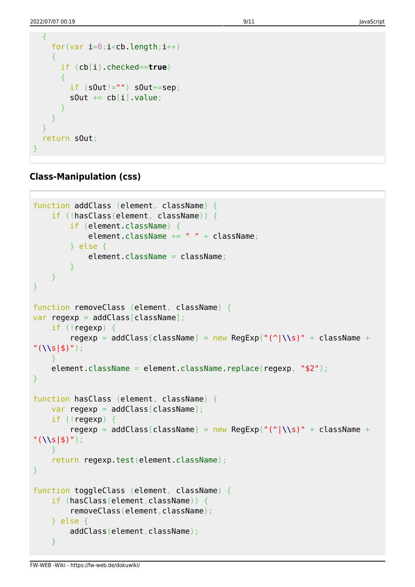```
 {
    for(var i=0; i<cb. length; i++)
    \sqrt{2} if (cb[i].checked==true)
        {
         if (sOut!= "") sout+=sep;sOut += cb[i].value; }
     }
   }
   return sOut;
}
```
#### **Class-Manipulation (css)**

```
function addClass (element, className) {
     if (!hasClass(element, className)) {
         if (element.className) {
            element.className += " " + className;
         } else {
             element.className = className;
         }
     }
}
function removeClass (element, className) {
var regexp = addClass[className];
     if (!regexp) {
         regexp = addClass[className] = new RegExp("(^|\\s)" + className +
"(\\s|$)");
\qquad \qquad \} element.className = element.className.replace(regexp, "$2");
}
function hasClass (element, className) {
   var regexp = addClass[className];
     if (!regexp) {
         regexp = addClass[className] = new RegExp("(^|\\s)" + className +
"(\\s|$)");
     }
    return regexp.test(element.className);
}
function toggleClass (element, className) {
     if (hasClass(element,className)) {
        removeClass(element,className);
     } else {
        addClass(element,className);
     }
```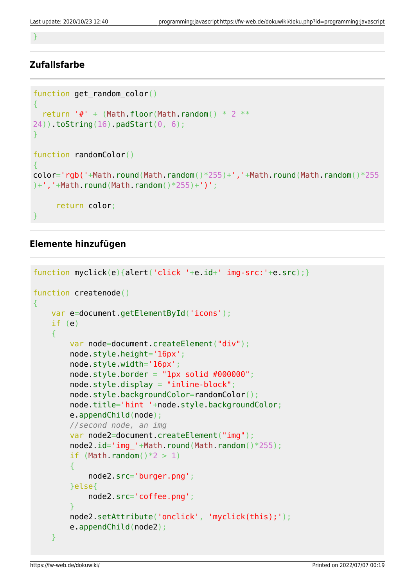}

### **Zufallsfarbe**

```
function get random color()
{
  return '#' + (Math.floor(Math.random() * 2 **24)).toString(16).padStart(0, 6);
}
function randomColor()
\mathcal{A}color='rgb('+Math.round(Math.random()*255)+','+Math.round(Math.random()*255
)+','+Math.round(Math.random()*255)+')';
      return color;
}
```
### **Elemente hinzufügen**

```
function myclick(e){alert('click '+e.id+' img-src:'+e.src);}
function createnode()
\sqrt{2}var e=document.getElementById('icons');
     if (e)
    \left\{ \right.var node=document.createElement("div");
         node.style.height='16px';
         node.style.width='16px';
        node-style.border = "1px solid #000000"; node.style.display = "inline-block";
         node.style.backgroundColor=randomColor();
         node.title='hint '+node.style.backgroundColor;
         e.appendChild(node);
         //second node, an img
        var node2=document.createElement("img");
        node2.id='img_'+Math.round(Math.random()*255);
        if (Math.random() * 2 > 1) {
             node2.src='burger.png';
         }else{
             node2.src='coffee.png';
 }
         node2.setAttribute('onclick', 'myclick(this);');
         e.appendChild(node2);
     }
```